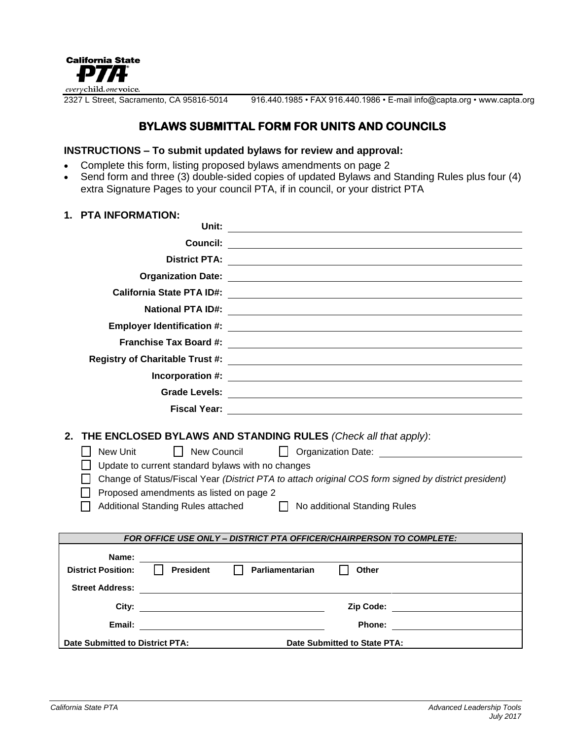

2327 L Street, Sacramento, CA 95816-5014 916.440.1985 • FAX 916.440.1986 • E-mail info@capta.org • www.capta.org

# **BYLAWS SUBMITTAL FORM FOR UNITS AND COUNCILS**

### **INSTRUCTIONS – To submit updated bylaws for review and approval:**

- Complete this form, listing proposed bylaws amendments on page 2
- Send form and three (3) double-sided copies of updated Bylaws and Standing Rules plus four (4) extra Signature Pages to your council PTA, if in council, or your district PTA

#### **1. PTA INFORMATION:**

|                                                                                                                                                                                                                                                                                                                                                                                                                                                           | Council:                             |  |  |  |
|-----------------------------------------------------------------------------------------------------------------------------------------------------------------------------------------------------------------------------------------------------------------------------------------------------------------------------------------------------------------------------------------------------------------------------------------------------------|--------------------------------------|--|--|--|
|                                                                                                                                                                                                                                                                                                                                                                                                                                                           |                                      |  |  |  |
|                                                                                                                                                                                                                                                                                                                                                                                                                                                           |                                      |  |  |  |
|                                                                                                                                                                                                                                                                                                                                                                                                                                                           |                                      |  |  |  |
|                                                                                                                                                                                                                                                                                                                                                                                                                                                           |                                      |  |  |  |
|                                                                                                                                                                                                                                                                                                                                                                                                                                                           |                                      |  |  |  |
|                                                                                                                                                                                                                                                                                                                                                                                                                                                           |                                      |  |  |  |
|                                                                                                                                                                                                                                                                                                                                                                                                                                                           |                                      |  |  |  |
|                                                                                                                                                                                                                                                                                                                                                                                                                                                           | Incorporation #:                     |  |  |  |
|                                                                                                                                                                                                                                                                                                                                                                                                                                                           |                                      |  |  |  |
|                                                                                                                                                                                                                                                                                                                                                                                                                                                           |                                      |  |  |  |
| 2.<br>THE ENCLOSED BYLAWS AND STANDING RULES (Check all that apply):<br>New Unit<br>I I New Council<br>Organization Date: <u>________________________</u><br>$\perp$<br>Update to current standard bylaws with no changes<br>Change of Status/Fiscal Year (District PTA to attach original COS form signed by district president)<br>Proposed amendments as listed on page 2<br><b>Additional Standing Rules attached</b><br>No additional Standing Rules |                                      |  |  |  |
| FOR OFFICE USE ONLY - DISTRICT PTA OFFICER/CHAIRPERSON TO COMPLETE:                                                                                                                                                                                                                                                                                                                                                                                       |                                      |  |  |  |
| Name:<br><b>District Position:</b><br>  President<br>Street Address: The Communication of the Communication of the Communication of the Communication of the Communication of the Communication of the Communication of the Communication of the Communication of the Communication                                                                                                                                                                       | $\Box$ Parliamentarian<br>Other      |  |  |  |
|                                                                                                                                                                                                                                                                                                                                                                                                                                                           | Zip Code: __________________________ |  |  |  |
|                                                                                                                                                                                                                                                                                                                                                                                                                                                           |                                      |  |  |  |
| Date Submitted to District PTA:<br>Date Submitted to State PTA:                                                                                                                                                                                                                                                                                                                                                                                           |                                      |  |  |  |